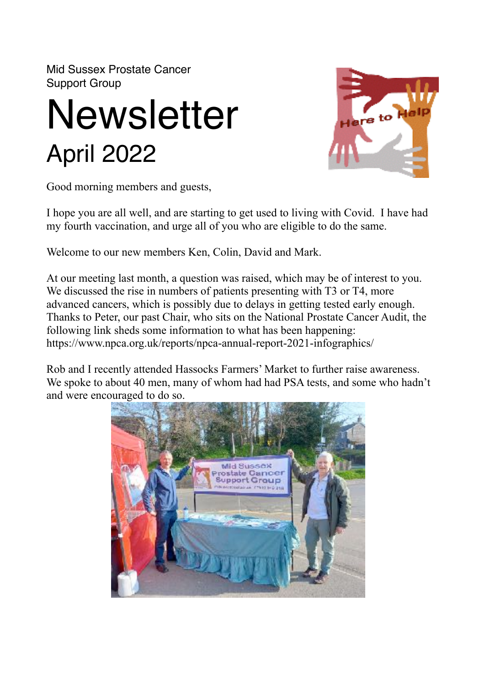Mid Sussex Prostate Cancer Support Group

## **Newsletter** April 2022



Good morning members and guests,

I hope you are all well, and are starting to get used to living with Covid. I have had my fourth vaccination, and urge all of you who are eligible to do the same.

Welcome to our new members Ken, Colin, David and Mark.

At our meeting last month, a question was raised, which may be of interest to you. We discussed the rise in numbers of patients presenting with T3 or T4, more advanced cancers, which is possibly due to delays in getting tested early enough. Thanks to Peter, our past Chair, who sits on the National Prostate Cancer Audit, the following link sheds some information to what has been happening: https://www.npca.org.uk/reports/npca-annual-report-2021-infographics/

Rob and I recently attended Hassocks Farmers' Market to further raise awareness. We spoke to about 40 men, many of whom had had PSA tests, and some who hadn't and were encouraged to do so.